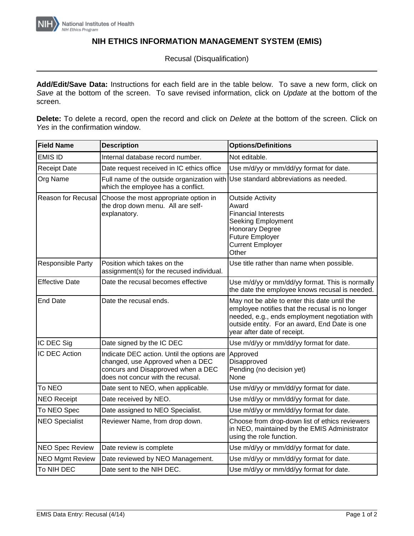

## **NIH ETHICS INFORMATION MANAGEMENT SYSTEM (EMIS)**

Recusal (Disqualification)

**Add/Edit/Save Data:** Instructions for each field are in the table below. To save a new form, click on *Save* at the bottom of the screen. To save revised information, click on *Update* at the bottom of the screen.

**Delete:** To delete a record, open the record and click on *Delete* at the bottom of the screen. Click on *Yes* in the confirmation window.

| <b>Field Name</b>      | <b>Description</b>                                                                                                                                        | <b>Options/Definitions</b>                                                                                                                                                                                                        |
|------------------------|-----------------------------------------------------------------------------------------------------------------------------------------------------------|-----------------------------------------------------------------------------------------------------------------------------------------------------------------------------------------------------------------------------------|
| <b>EMIS ID</b>         | Internal database record number.                                                                                                                          | Not editable.                                                                                                                                                                                                                     |
| <b>Receipt Date</b>    | Date request received in IC ethics office                                                                                                                 | Use m/d/yy or mm/dd/yy format for date.                                                                                                                                                                                           |
| Org Name               | Full name of the outside organization with<br>which the employee has a conflict.                                                                          | Use standard abbreviations as needed.                                                                                                                                                                                             |
| Reason for Recusal     | Choose the most appropriate option in<br>the drop down menu. All are self-<br>explanatory.                                                                | <b>Outside Activity</b><br>Award<br><b>Financial Interests</b><br><b>Seeking Employment</b><br><b>Honorary Degree</b><br><b>Future Employer</b><br><b>Current Employer</b><br>Other                                               |
| Responsible Party      | Position which takes on the<br>assignment(s) for the recused individual.                                                                                  | Use title rather than name when possible.                                                                                                                                                                                         |
| <b>Effective Date</b>  | Date the recusal becomes effective                                                                                                                        | Use m/d/yy or mm/dd/yy format. This is normally<br>the date the employee knows recusal is needed.                                                                                                                                 |
| <b>End Date</b>        | Date the recusal ends.                                                                                                                                    | May not be able to enter this date until the<br>employee notifies that the recusal is no longer<br>needed, e.g., ends employment negotiation with<br>outside entity. For an award, End Date is one<br>year after date of receipt. |
| IC DEC Sig             | Date signed by the IC DEC                                                                                                                                 | Use m/d/yy or mm/dd/yy format for date.                                                                                                                                                                                           |
| IC DEC Action          | Indicate DEC action. Until the options are<br>changed, use Approved when a DEC<br>concurs and Disapproved when a DEC<br>does not concur with the recusal. | Approved<br>Disapproved<br>Pending (no decision yet)<br>None                                                                                                                                                                      |
| To NEO                 | Date sent to NEO, when applicable.                                                                                                                        | Use m/d/yy or mm/dd/yy format for date.                                                                                                                                                                                           |
| <b>NEO Receipt</b>     | Date received by NEO.                                                                                                                                     | Use m/d/yy or mm/dd/yy format for date.                                                                                                                                                                                           |
| To NEO Spec            | Date assigned to NEO Specialist.                                                                                                                          | Use m/d/yy or mm/dd/yy format for date.                                                                                                                                                                                           |
| <b>NEO Specialist</b>  | Reviewer Name, from drop down.                                                                                                                            | Choose from drop-down list of ethics reviewers<br>in NEO, maintained by the EMIS Administrator<br>using the role function.                                                                                                        |
| <b>NEO Spec Review</b> | Date review is complete                                                                                                                                   | Use m/d/yy or mm/dd/yy format for date.                                                                                                                                                                                           |
| <b>NEO Mgmt Review</b> | Date reviewed by NEO Management.                                                                                                                          | Use m/d/yy or mm/dd/yy format for date.                                                                                                                                                                                           |
| To NIH DEC             | Date sent to the NIH DEC.                                                                                                                                 | Use m/d/yy or mm/dd/yy format for date.                                                                                                                                                                                           |